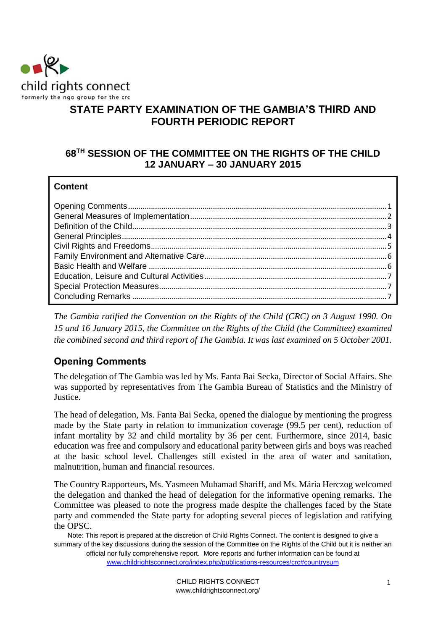

# **STATE PARTY EXAMINATION OF THE GAMBIA'S THIRD AND FOURTH PERIODIC REPORT**

# **68TH SESSION OF THE COMMITTEE ON THE RIGHTS OF THE CHILD 12 JANUARY – 30 JANUARY 2015**

### **Content**

*The Gambia ratified the Convention on the Rights of the Child (CRC) on 3 August 1990. On 15 and 16 January 2015, the Committee on the Rights of the Child (the Committee) examined the combined second and third report of The Gambia. It was last examined on 5 October 2001.*

# <span id="page-0-0"></span>**Opening Comments**

The delegation of The Gambia was led by Ms. Fanta Bai Secka, Director of Social Affairs. She was supported by representatives from The Gambia Bureau of Statistics and the Ministry of Justice.

The head of delegation, Ms. Fanta Bai Secka, opened the dialogue by mentioning the progress made by the State party in relation to immunization coverage (99.5 per cent), reduction of infant mortality by 32 and child mortality by 36 per cent. Furthermore, since 2014, basic education was free and compulsory and educational parity between girls and boys was reached at the basic school level. Challenges still existed in the area of water and sanitation, malnutrition, human and financial resources.

The Country Rapporteurs, Ms. Yasmeen Muhamad Shariff, and Ms. Mária Herczog welcomed the delegation and thanked the head of delegation for the informative opening remarks. The Committee was pleased to note the progress made despite the challenges faced by the State party and commended the State party for adopting several pieces of legislation and ratifying the OPSC.

Note: This report is prepared at the discretion of Child Rights Connect. The content is designed to give a summary of the key discussions during the session of the Committee on the Rights of the Child but it is neither an official nor fully comprehensive report. More reports and further information can be found at [www.childrightsconnect.org/index.php/publications-resources/crc#countrysum](http://www.childrightsconnect.org/index.php/publications-resources/crc#countrysum)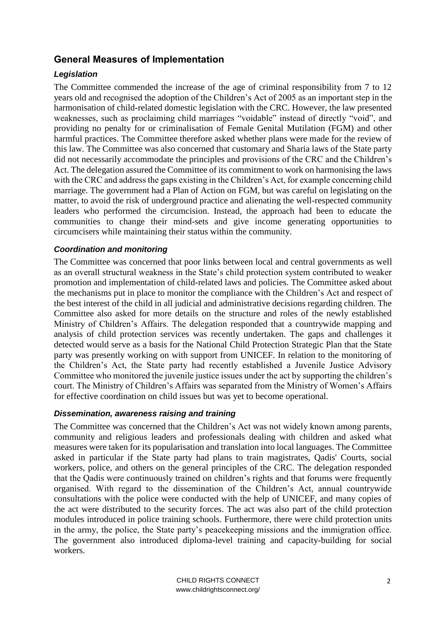## <span id="page-1-0"></span>**General Measures of Implementation**

### *Legislation*

The Committee commended the increase of the age of criminal responsibility from 7 to 12 years old and recognised the adoption of the Children's Act of 2005 as an important step in the harmonisation of child-related domestic legislation with the CRC. However, the law presented weaknesses, such as proclaiming child marriages "voidable" instead of directly "void", and providing no penalty for or criminalisation of Female Genital Mutilation (FGM) and other harmful practices. The Committee therefore asked whether plans were made for the review of this law. The Committee was also concerned that customary and Sharia laws of the State party did not necessarily accommodate the principles and provisions of the CRC and the Children's Act. The delegation assured the Committee of its commitment to work on harmonising the laws with the CRC and address the gaps existing in the Children's Act, for example concerning child marriage. The government had a Plan of Action on FGM, but was careful on legislating on the matter, to avoid the risk of underground practice and alienating the well-respected community leaders who performed the circumcision. Instead, the approach had been to educate the communities to change their mind-sets and give income generating opportunities to circumcisers while maintaining their status within the community.

### *Coordination and monitoring*

The Committee was concerned that poor links between local and central governments as well as an overall structural weakness in the State's child protection system contributed to weaker promotion and implementation of child-related laws and policies. The Committee asked about the mechanisms put in place to monitor the compliance with the Children's Act and respect of the best interest of the child in all judicial and administrative decisions regarding children. The Committee also asked for more details on the structure and roles of the newly established Ministry of Children's Affairs. The delegation responded that a countrywide mapping and analysis of child protection services was recently undertaken. The gaps and challenges it detected would serve as a basis for the National Child Protection Strategic Plan that the State party was presently working on with support from UNICEF. In relation to the monitoring of the Children's Act, the State party had recently established a Juvenile Justice Advisory Committee who monitored the juvenile justice issues under the act by supporting the children's court. The Ministry of Children's Affairs was separated from the Ministry of Women's Affairs for effective coordination on child issues but was yet to become operational.

#### *Dissemination, awareness raising and training*

The Committee was concerned that the Children's Act was not widely known among parents, community and religious leaders and professionals dealing with children and asked what measures were taken for its popularisation and translation into local languages. The Committee asked in particular if the State party had plans to train magistrates, Qadis' Courts, social workers, police, and others on the general principles of the CRC. The delegation responded that the Qadis were continuously trained on children's rights and that forums were frequently organised. With regard to the dissemination of the Children's Act, annual countrywide consultations with the police were conducted with the help of UNICEF, and many copies of the act were distributed to the security forces. The act was also part of the child protection modules introduced in police training schools. Furthermore, there were child protection units in the army, the police, the State party's peacekeeping missions and the immigration office. The government also introduced diploma-level training and capacity-building for social workers.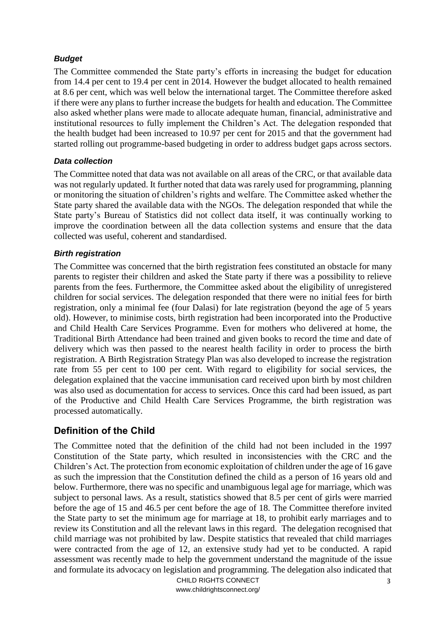#### *Budget*

The Committee commended the State party's efforts in increasing the budget for education from 14.4 per cent to 19.4 per cent in 2014. However the budget allocated to health remained at 8.6 per cent, which was well below the international target. The Committee therefore asked if there were any plans to further increase the budgets for health and education. The Committee also asked whether plans were made to allocate adequate human, financial, administrative and institutional resources to fully implement the Children's Act. The delegation responded that the health budget had been increased to 10.97 per cent for 2015 and that the government had started rolling out programme-based budgeting in order to address budget gaps across sectors.

#### *Data collection*

The Committee noted that data was not available on all areas of the CRC, or that available data was not regularly updated. It further noted that data was rarely used for programming, planning or monitoring the situation of children's rights and welfare. The Committee asked whether the State party shared the available data with the NGOs. The delegation responded that while the State party's Bureau of Statistics did not collect data itself, it was continually working to improve the coordination between all the data collection systems and ensure that the data collected was useful, coherent and standardised.

#### *Birth registration*

The Committee was concerned that the birth registration fees constituted an obstacle for many parents to register their children and asked the State party if there was a possibility to relieve parents from the fees. Furthermore, the Committee asked about the eligibility of unregistered children for social services. The delegation responded that there were no initial fees for birth registration, only a minimal fee (four Dalasi) for late registration (beyond the age of 5 years old). However, to minimise costs, birth registration had been incorporated into the Productive and Child Health Care Services Programme. Even for mothers who delivered at home, the Traditional Birth Attendance had been trained and given books to record the time and date of delivery which was then passed to the nearest health facility in order to process the birth registration. A Birth Registration Strategy Plan was also developed to increase the registration rate from 55 per cent to 100 per cent. With regard to eligibility for social services, the delegation explained that the vaccine immunisation card received upon birth by most children was also used as documentation for access to services. Once this card had been issued, as part of the Productive and Child Health Care Services Programme, the birth registration was processed automatically.

## <span id="page-2-0"></span>**Definition of the Child**

The Committee noted that the definition of the child had not been included in the 1997 Constitution of the State party, which resulted in inconsistencies with the CRC and the Children's Act. The protection from economic exploitation of children under the age of 16 gave as such the impression that the Constitution defined the child as a person of 16 years old and below. Furthermore, there was no specific and unambiguous legal age for marriage, which was subject to personal laws. As a result, statistics showed that 8.5 per cent of girls were married before the age of 15 and 46.5 per cent before the age of 18. The Committee therefore invited the State party to set the minimum age for marriage at 18, to prohibit early marriages and to review its Constitution and all the relevant laws in this regard. The delegation recognised that child marriage was not prohibited by law. Despite statistics that revealed that child marriages were contracted from the age of 12, an extensive study had yet to be conducted. A rapid assessment was recently made to help the government understand the magnitude of the issue and formulate its advocacy on legislation and programming. The delegation also indicated that

> CHILD RIGHTS CONNECT www.childrightsconnect.org/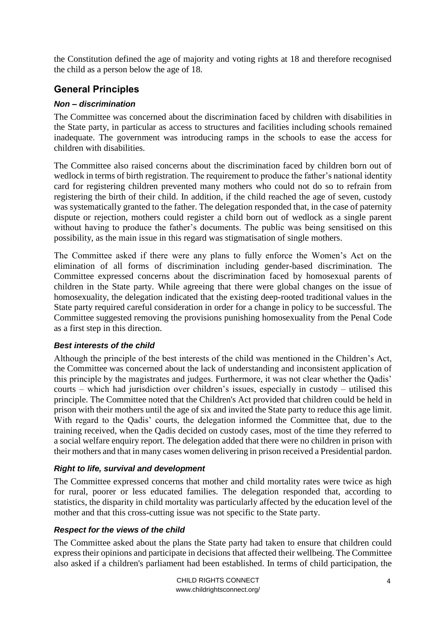the Constitution defined the age of majority and voting rights at 18 and therefore recognised the child as a person below the age of 18.

# <span id="page-3-0"></span>**General Principles**

### *Non – discrimination*

The Committee was concerned about the discrimination faced by children with disabilities in the State party, in particular as access to structures and facilities including schools remained inadequate. The government was introducing ramps in the schools to ease the access for children with disabilities.

The Committee also raised concerns about the discrimination faced by children born out of wedlock in terms of birth registration. The requirement to produce the father's national identity card for registering children prevented many mothers who could not do so to refrain from registering the birth of their child. In addition, if the child reached the age of seven, custody was systematically granted to the father. The delegation responded that, in the case of paternity dispute or rejection, mothers could register a child born out of wedlock as a single parent without having to produce the father's documents. The public was being sensitised on this possibility, as the main issue in this regard was stigmatisation of single mothers.

The Committee asked if there were any plans to fully enforce the Women's Act on the elimination of all forms of discrimination including gender-based discrimination. The Committee expressed concerns about the discrimination faced by homosexual parents of children in the State party. While agreeing that there were global changes on the issue of homosexuality, the delegation indicated that the existing deep-rooted traditional values in the State party required careful consideration in order for a change in policy to be successful. The Committee suggested removing the provisions punishing homosexuality from the Penal Code as a first step in this direction.

### *Best interests of the child*

Although the principle of the best interests of the child was mentioned in the Children's Act, the Committee was concerned about the lack of understanding and inconsistent application of this principle by the magistrates and judges. Furthermore, it was not clear whether the Qadis' courts – which had jurisdiction over children's issues, especially in custody – utilised this principle. The Committee noted that the Children's Act provided that children could be held in prison with their mothers until the age of six and invited the State party to reduce this age limit. With regard to the Qadis' courts, the delegation informed the Committee that, due to the training received, when the Qadis decided on custody cases, most of the time they referred to a social welfare enquiry report. The delegation added that there were no children in prison with their mothers and that in many cases women delivering in prison received a Presidential pardon.

## *Right to life, survival and development*

The Committee expressed concerns that mother and child mortality rates were twice as high for rural, poorer or less educated families. The delegation responded that, according to statistics, the disparity in child mortality was particularly affected by the education level of the mother and that this cross-cutting issue was not specific to the State party.

## *Respect for the views of the child*

The Committee asked about the plans the State party had taken to ensure that children could express their opinions and participate in decisions that affected their wellbeing. The Committee also asked if a children's parliament had been established. In terms of child participation, the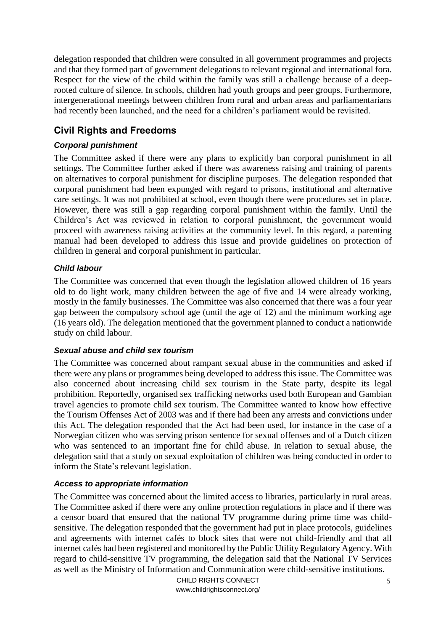delegation responded that children were consulted in all government programmes and projects and that they formed part of government delegations to relevant regional and international fora. Respect for the view of the child within the family was still a challenge because of a deeprooted culture of silence. In schools, children had youth groups and peer groups. Furthermore, intergenerational meetings between children from rural and urban areas and parliamentarians had recently been launched, and the need for a children's parliament would be revisited.

# <span id="page-4-0"></span>**Civil Rights and Freedoms**

## *Corporal punishment*

The Committee asked if there were any plans to explicitly ban corporal punishment in all settings. The Committee further asked if there was awareness raising and training of parents on alternatives to corporal punishment for discipline purposes. The delegation responded that corporal punishment had been expunged with regard to prisons, institutional and alternative care settings. It was not prohibited at school, even though there were procedures set in place. However, there was still a gap regarding corporal punishment within the family. Until the Children's Act was reviewed in relation to corporal punishment, the government would proceed with awareness raising activities at the community level. In this regard, a parenting manual had been developed to address this issue and provide guidelines on protection of children in general and corporal punishment in particular.

### *Child labour*

The Committee was concerned that even though the legislation allowed children of 16 years old to do light work, many children between the age of five and 14 were already working, mostly in the family businesses. The Committee was also concerned that there was a four year gap between the compulsory school age (until the age of 12) and the minimum working age (16 years old). The delegation mentioned that the government planned to conduct a nationwide study on child labour.

### *Sexual abuse and child sex tourism*

The Committee was concerned about rampant sexual abuse in the communities and asked if there were any plans or programmes being developed to address this issue. The Committee was also concerned about increasing child sex tourism in the State party, despite its legal prohibition. Reportedly, organised sex trafficking networks used both European and Gambian travel agencies to promote child sex tourism. The Committee wanted to know how effective the Tourism Offenses Act of 2003 was and if there had been any arrests and convictions under this Act. The delegation responded that the Act had been used, for instance in the case of a Norwegian citizen who was serving prison sentence for sexual offenses and of a Dutch citizen who was sentenced to an important fine for child abuse. In relation to sexual abuse, the delegation said that a study on sexual exploitation of children was being conducted in order to inform the State's relevant legislation.

### *Access to appropriate information*

The Committee was concerned about the limited access to libraries, particularly in rural areas. The Committee asked if there were any online protection regulations in place and if there was a censor board that ensured that the national TV programme during prime time was childsensitive. The delegation responded that the government had put in place protocols, guidelines and agreements with internet cafés to block sites that were not child-friendly and that all internet cafés had been registered and monitored by the Public Utility Regulatory Agency. With regard to child-sensitive TV programming, the delegation said that the National TV Services as well as the Ministry of Information and Communication were child-sensitive institutions.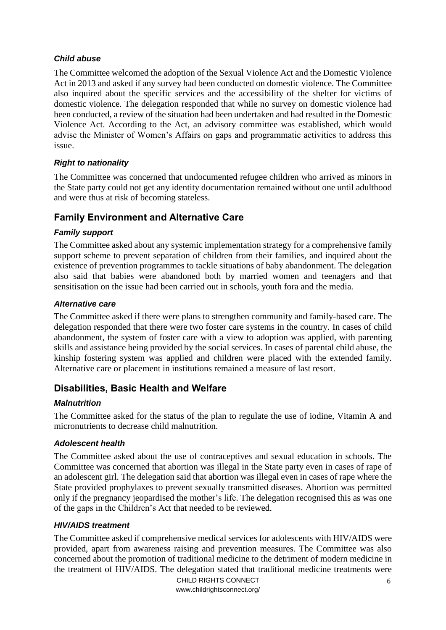### *Child abuse*

The Committee welcomed the adoption of the Sexual Violence Act and the Domestic Violence Act in 2013 and asked if any survey had been conducted on domestic violence. The Committee also inquired about the specific services and the accessibility of the shelter for victims of domestic violence. The delegation responded that while no survey on domestic violence had been conducted, a review of the situation had been undertaken and had resulted in the Domestic Violence Act. According to the Act, an advisory committee was established, which would advise the Minister of Women's Affairs on gaps and programmatic activities to address this issue.

### *Right to nationality*

The Committee was concerned that undocumented refugee children who arrived as minors in the State party could not get any identity documentation remained without one until adulthood and were thus at risk of becoming stateless.

## <span id="page-5-0"></span>**Family Environment and Alternative Care**

### *Family support*

The Committee asked about any systemic implementation strategy for a comprehensive family support scheme to prevent separation of children from their families, and inquired about the existence of prevention programmes to tackle situations of baby abandonment. The delegation also said that babies were abandoned both by married women and teenagers and that sensitisation on the issue had been carried out in schools, youth fora and the media.

#### *Alternative care*

The Committee asked if there were plans to strengthen community and family-based care. The delegation responded that there were two foster care systems in the country. In cases of child abandonment, the system of foster care with a view to adoption was applied, with parenting skills and assistance being provided by the social services. In cases of parental child abuse, the kinship fostering system was applied and children were placed with the extended family. Alternative care or placement in institutions remained a measure of last resort.

## <span id="page-5-1"></span>**Disabilities, Basic Health and Welfare**

### *Malnutrition*

The Committee asked for the status of the plan to regulate the use of iodine, Vitamin A and micronutrients to decrease child malnutrition.

### *Adolescent health*

The Committee asked about the use of contraceptives and sexual education in schools. The Committee was concerned that abortion was illegal in the State party even in cases of rape of an adolescent girl. The delegation said that abortion was illegal even in cases of rape where the State provided prophylaxes to prevent sexually transmitted diseases. Abortion was permitted only if the pregnancy jeopardised the mother's life. The delegation recognised this as was one of the gaps in the Children's Act that needed to be reviewed.

#### *HIV/AIDS treatment*

The Committee asked if comprehensive medical services for adolescents with HIV/AIDS were provided, apart from awareness raising and prevention measures. The Committee was also concerned about the promotion of traditional medicine to the detriment of modern medicine in the treatment of HIV/AIDS. The delegation stated that traditional medicine treatments were

> CHILD RIGHTS CONNECT www.childrightsconnect.org/